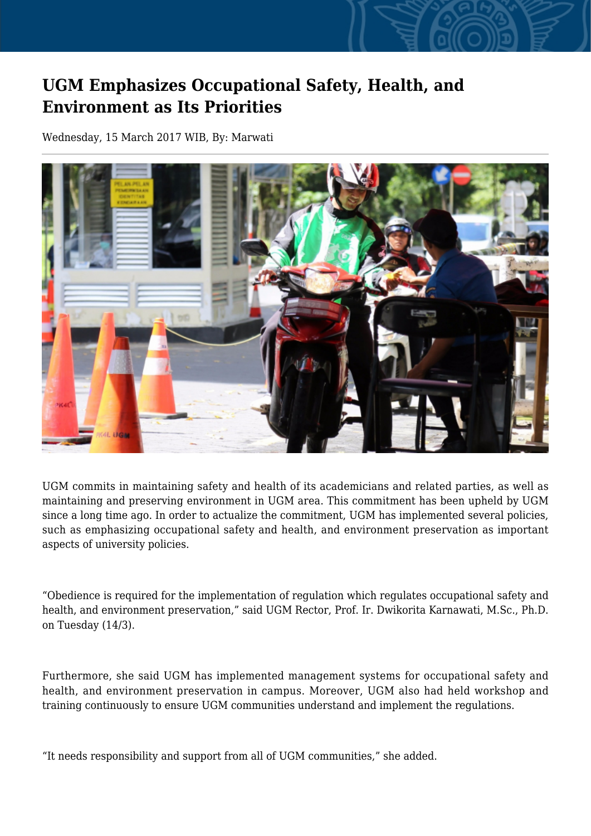## **UGM Emphasizes Occupational Safety, Health, and Environment as Its Priorities**

Wednesday, 15 March 2017 WIB, By: Marwati



UGM commits in maintaining safety and health of its academicians and related parties, as well as maintaining and preserving environment in UGM area. This commitment has been upheld by UGM since a long time ago. In order to actualize the commitment, UGM has implemented several policies, such as emphasizing occupational safety and health, and environment preservation as important aspects of university policies.

"Obedience is required for the implementation of regulation which regulates occupational safety and health, and environment preservation," said UGM Rector, Prof. Ir. Dwikorita Karnawati, M.Sc., Ph.D. on Tuesday (14/3).

Furthermore, she said UGM has implemented management systems for occupational safety and health, and environment preservation in campus. Moreover, UGM also had held workshop and training continuously to ensure UGM communities understand and implement the regulations.

"It needs responsibility and support from all of UGM communities," she added.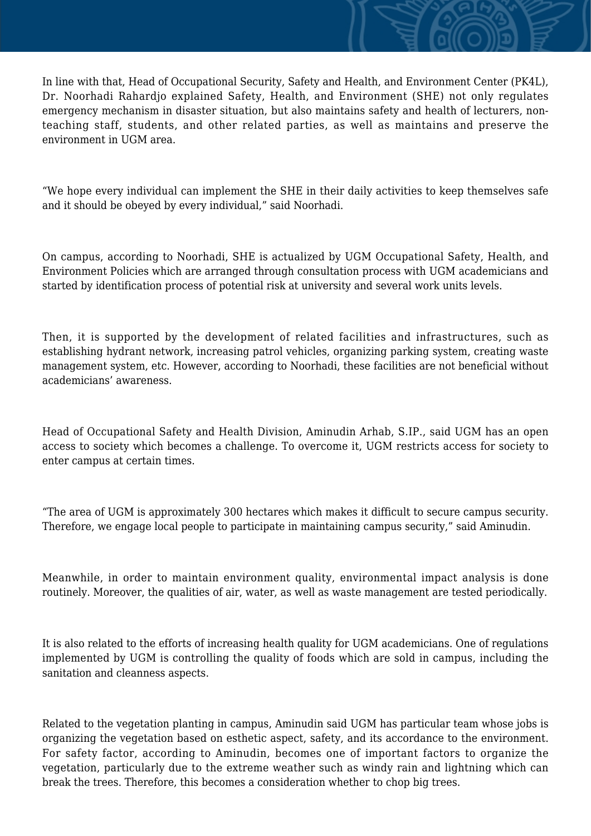In line with that, Head of Occupational Security, Safety and Health, and Environment Center (PK4L), Dr. Noorhadi Rahardjo explained Safety, Health, and Environment (SHE) not only regulates emergency mechanism in disaster situation, but also maintains safety and health of lecturers, nonteaching staff, students, and other related parties, as well as maintains and preserve the environment in UGM area.

"We hope every individual can implement the SHE in their daily activities to keep themselves safe and it should be obeyed by every individual," said Noorhadi.

On campus, according to Noorhadi, SHE is actualized by UGM Occupational Safety, Health, and Environment Policies which are arranged through consultation process with UGM academicians and started by identification process of potential risk at university and several work units levels.

Then, it is supported by the development of related facilities and infrastructures, such as establishing hydrant network, increasing patrol vehicles, organizing parking system, creating waste management system, etc. However, according to Noorhadi, these facilities are not beneficial without academicians' awareness.

Head of Occupational Safety and Health Division, Aminudin Arhab, S.IP., said UGM has an open access to society which becomes a challenge. To overcome it, UGM restricts access for society to enter campus at certain times.

"The area of UGM is approximately 300 hectares which makes it difficult to secure campus security. Therefore, we engage local people to participate in maintaining campus security," said Aminudin.

Meanwhile, in order to maintain environment quality, environmental impact analysis is done routinely. Moreover, the qualities of air, water, as well as waste management are tested periodically.

It is also related to the efforts of increasing health quality for UGM academicians. One of regulations implemented by UGM is controlling the quality of foods which are sold in campus, including the sanitation and cleanness aspects.

Related to the vegetation planting in campus, Aminudin said UGM has particular team whose jobs is organizing the vegetation based on esthetic aspect, safety, and its accordance to the environment. For safety factor, according to Aminudin, becomes one of important factors to organize the vegetation, particularly due to the extreme weather such as windy rain and lightning which can break the trees. Therefore, this becomes a consideration whether to chop big trees.